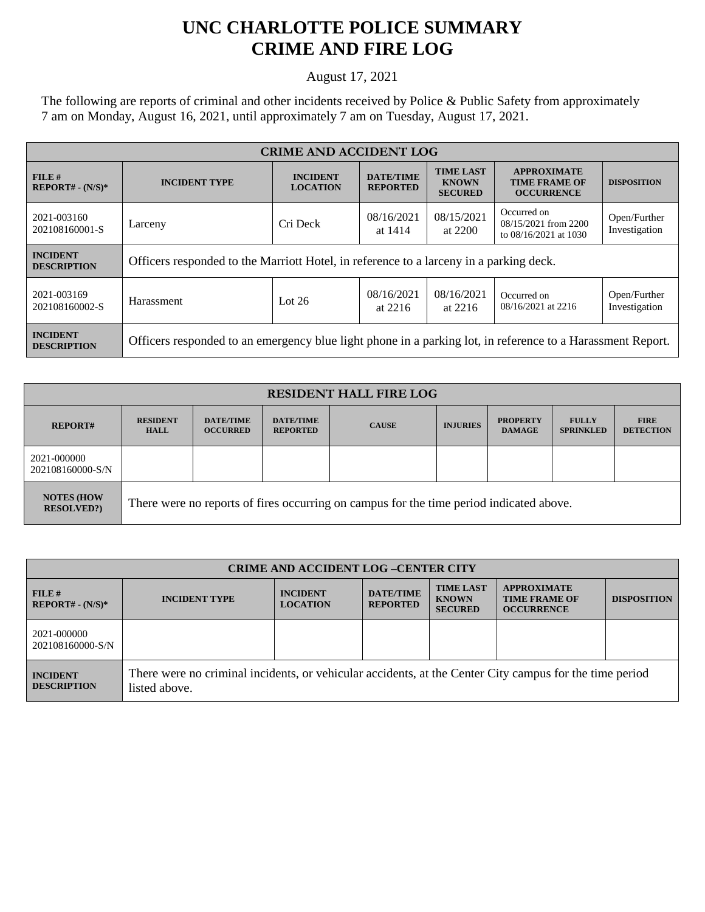## **UNC CHARLOTTE POLICE SUMMARY CRIME AND FIRE LOG**

August 17, 2021

The following are reports of criminal and other incidents received by Police & Public Safety from approximately 7 am on Monday, August 16, 2021, until approximately 7 am on Tuesday, August 17, 2021.

| <b>CRIME AND ACCIDENT LOG</b>         |                                                                                                            |                                    |                                     |                                                    |                                                                 |                               |
|---------------------------------------|------------------------------------------------------------------------------------------------------------|------------------------------------|-------------------------------------|----------------------------------------------------|-----------------------------------------------------------------|-------------------------------|
| FILE#<br>$REPORT# - (N/S)*$           | <b>INCIDENT TYPE</b>                                                                                       | <b>INCIDENT</b><br><b>LOCATION</b> | <b>DATE/TIME</b><br><b>REPORTED</b> | <b>TIME LAST</b><br><b>KNOWN</b><br><b>SECURED</b> | <b>APPROXIMATE</b><br><b>TIME FRAME OF</b><br><b>OCCURRENCE</b> | <b>DISPOSITION</b>            |
| 2021-003160<br>202108160001-S         | Larceny                                                                                                    | Cri Deck                           | 08/16/2021<br>at 1414               | 08/15/2021<br>at 2200                              | Occurred on<br>08/15/2021 from 2200<br>to 08/16/2021 at 1030    | Open/Further<br>Investigation |
| <b>INCIDENT</b><br><b>DESCRIPTION</b> | Officers responded to the Marriott Hotel, in reference to a larceny in a parking deck.                     |                                    |                                     |                                                    |                                                                 |                               |
| 2021-003169<br>202108160002-S         | Harassment                                                                                                 | Lot $26$                           | 08/16/2021<br>at $2216$             | 08/16/2021<br>at $2216$                            | Occurred on<br>08/16/2021 at 2216                               | Open/Further<br>Investigation |
| <b>INCIDENT</b><br><b>DESCRIPTION</b> | Officers responded to an emergency blue light phone in a parking lot, in reference to a Harassment Report. |                                    |                                     |                                                    |                                                                 |                               |

| <b>RESIDENT HALL FIRE LOG</b>         |                                                                                         |                                     |                                     |              |                 |                                  |                                  |                                 |
|---------------------------------------|-----------------------------------------------------------------------------------------|-------------------------------------|-------------------------------------|--------------|-----------------|----------------------------------|----------------------------------|---------------------------------|
| <b>REPORT#</b>                        | <b>RESIDENT</b><br><b>HALL</b>                                                          | <b>DATE/TIME</b><br><b>OCCURRED</b> | <b>DATE/TIME</b><br><b>REPORTED</b> | <b>CAUSE</b> | <b>INJURIES</b> | <b>PROPERTY</b><br><b>DAMAGE</b> | <b>FULLY</b><br><b>SPRINKLED</b> | <b>FIRE</b><br><b>DETECTION</b> |
| 2021-000000<br>202108160000-S/N       |                                                                                         |                                     |                                     |              |                 |                                  |                                  |                                 |
| <b>NOTES (HOW</b><br><b>RESOLVED?</b> | There were no reports of fires occurring on campus for the time period indicated above. |                                     |                                     |              |                 |                                  |                                  |                                 |

| <b>CRIME AND ACCIDENT LOG-CENTER CITY</b> |                                                                                                                          |                                    |                                     |                                                    |                                                                 |                    |
|-------------------------------------------|--------------------------------------------------------------------------------------------------------------------------|------------------------------------|-------------------------------------|----------------------------------------------------|-----------------------------------------------------------------|--------------------|
| FILE H<br>$REPORT# - (N/S)*$              | <b>INCIDENT TYPE</b>                                                                                                     | <b>INCIDENT</b><br><b>LOCATION</b> | <b>DATE/TIME</b><br><b>REPORTED</b> | <b>TIME LAST</b><br><b>KNOWN</b><br><b>SECURED</b> | <b>APPROXIMATE</b><br><b>TIME FRAME OF</b><br><b>OCCURRENCE</b> | <b>DISPOSITION</b> |
| 2021-000000<br>202108160000-S/N           |                                                                                                                          |                                    |                                     |                                                    |                                                                 |                    |
| <b>INCIDENT</b><br><b>DESCRIPTION</b>     | There were no criminal incidents, or vehicular accidents, at the Center City campus for the time period<br>listed above. |                                    |                                     |                                                    |                                                                 |                    |